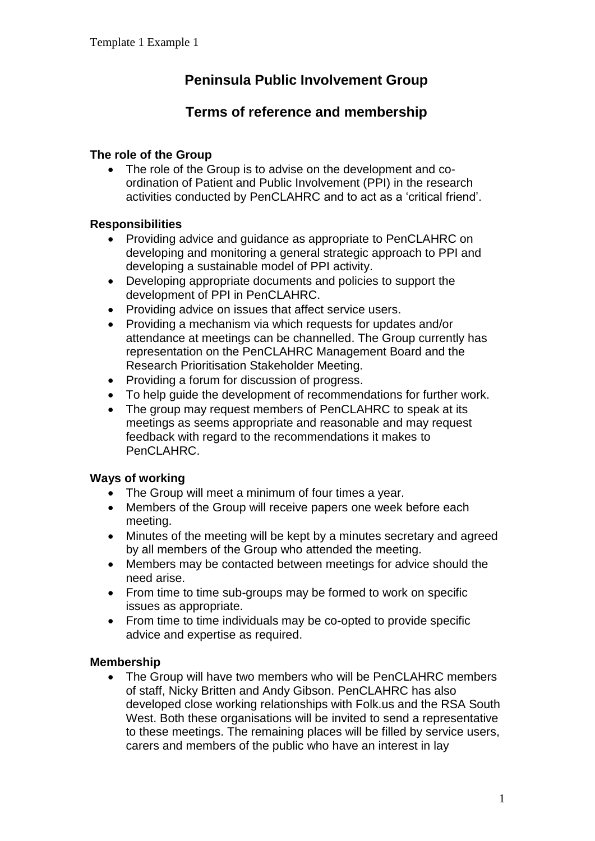# **Peninsula Public Involvement Group**

## **Terms of reference and membership**

#### **The role of the Group**

• The role of the Group is to advise on the development and coordination of Patient and Public Involvement (PPI) in the research activities conducted by PenCLAHRC and to act as a 'critical friend'.

#### **Responsibilities**

- Providing advice and guidance as appropriate to PenCLAHRC on developing and monitoring a general strategic approach to PPI and developing a sustainable model of PPI activity.
- Developing appropriate documents and policies to support the development of PPI in PenCLAHRC.
- Providing advice on issues that affect service users.
- Providing a mechanism via which requests for updates and/or attendance at meetings can be channelled. The Group currently has representation on the PenCLAHRC Management Board and the Research Prioritisation Stakeholder Meeting.
- Providing a forum for discussion of progress.
- To help guide the development of recommendations for further work.
- The group may request members of PenCLAHRC to speak at its meetings as seems appropriate and reasonable and may request feedback with regard to the recommendations it makes to PenCLAHRC.

### **Ways of working**

- The Group will meet a minimum of four times a year.
- Members of the Group will receive papers one week before each meeting.
- Minutes of the meeting will be kept by a minutes secretary and agreed by all members of the Group who attended the meeting.
- Members may be contacted between meetings for advice should the need arise.
- From time to time sub-groups may be formed to work on specific issues as appropriate.
- From time to time individuals may be co-opted to provide specific advice and expertise as required.

### **Membership**

• The Group will have two members who will be PenCLAHRC members of staff, Nicky Britten and Andy Gibson. PenCLAHRC has also developed close working relationships with Folk.us and the RSA South West. Both these organisations will be invited to send a representative to these meetings. The remaining places will be filled by service users, carers and members of the public who have an interest in lay